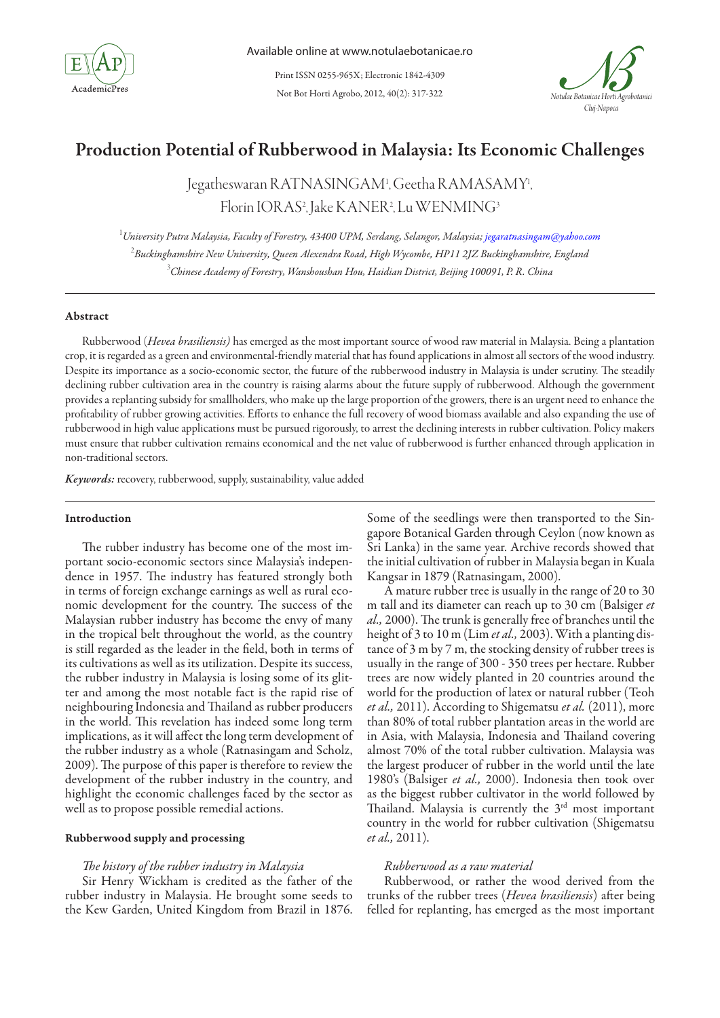

Not Bot Horti Agrobo, 2012, 40(2): 317-322 Print ISSN 0255-965X; Electronic 1842-4309



# Production Potential of Rubberwood in Malaysia: Its Economic Challenges

Jegatheswaran RATNASINGAM1 , Geetha RAMASAMY1 , Florin IORAS<sup>2</sup>, Jake KANER<sup>2</sup>, Lu WENMING<sup>3</sup>

1 *University Putra Malaysia, Faculty of Forestry, 43400 UPM, Serdang, Selangor, Malaysia; jegaratnasingam@yahoo.com* 2 *Buckinghamshire New University, Queen Alexendra Road, High Wycombe, HP11 2JZ Buckinghamshire, England* 3 *Chinese Academy of Forestry, Wanshoushan Hou, Haidian District, Beijing 100091, P. R. China*

#### Abstract

Rubberwood (*Hevea brasiliensis)* has emerged as the most important source of wood raw material in Malaysia. Being a plantation crop, it is regarded as a green and environmental-friendly material that has found applications in almost all sectors of the wood industry. Despite its importance as a socio-economic sector, the future of the rubberwood industry in Malaysia is under scrutiny. The steadily declining rubber cultivation area in the country is raising alarms about the future supply of rubberwood. Although the government provides a replanting subsidy for smallholders, who make up the large proportion of the growers, there is an urgent need to enhance the profitability of rubber growing activities. Efforts to enhance the full recovery of wood biomass available and also expanding the use of rubberwood in high value applications must be pursued rigorously, to arrest the declining interests in rubber cultivation. Policy makers must ensure that rubber cultivation remains economical and the net value of rubberwood is further enhanced through application in non-traditional sectors.

*Keywords:* recovery, rubberwood, supply, sustainability, value added

#### Introduction

The rubber industry has become one of the most important socio-economic sectors since Malaysia's independence in 1957. The industry has featured strongly both in terms of foreign exchange earnings as well as rural economic development for the country. The success of the Malaysian rubber industry has become the envy of many in the tropical belt throughout the world, as the country is still regarded as the leader in the field, both in terms of its cultivations as well as its utilization. Despite its success, the rubber industry in Malaysia is losing some of its glitter and among the most notable fact is the rapid rise of neighbouring Indonesia and Thailand as rubber producers in the world. This revelation has indeed some long term implications, as it will affect the long term development of the rubber industry as a whole (Ratnasingam and Scholz, 2009). The purpose of this paper is therefore to review the development of the rubber industry in the country, and highlight the economic challenges faced by the sector as well as to propose possible remedial actions.

## Rubberwood supply and processing

## *The history of the rubber industry in Malaysia*

Sir Henry Wickham is credited as the father of the rubber industry in Malaysia. He brought some seeds to the Kew Garden, United Kingdom from Brazil in 1876.

Some of the seedlings were then transported to the Singapore Botanical Garden through Ceylon (now known as Sri Lanka) in the same year. Archive records showed that the initial cultivation of rubber in Malaysia began in Kuala Kangsar in 1879 (Ratnasingam, 2000).

A mature rubber tree is usually in the range of 20 to 30 m tall and its diameter can reach up to 30 cm (Balsiger *et al.,* 2000). The trunk is generally free of branches until the height of 3 to 10 m (Lim *et al.,* 2003). With a planting distance of 3 m by 7 m, the stocking density of rubber trees is usually in the range of 300 - 350 trees per hectare. Rubber trees are now widely planted in 20 countries around the world for the production of latex or natural rubber (Teoh *et al.,* 2011). According to Shigematsu *et al.* (2011), more than 80% of total rubber plantation areas in the world are in Asia, with Malaysia, Indonesia and Thailand covering almost 70% of the total rubber cultivation. Malaysia was the largest producer of rubber in the world until the late 1980's (Balsiger *et al.,* 2000). Indonesia then took over as the biggest rubber cultivator in the world followed by Thailand. Malaysia is currently the 3<sup>rd</sup> most important country in the world for rubber cultivation (Shigematsu *et al.,* 2011).

## *Rubberwood as a raw material*

Rubberwood, or rather the wood derived from the trunks of the rubber trees (*Hevea brasiliensis*) after being felled for replanting, has emerged as the most important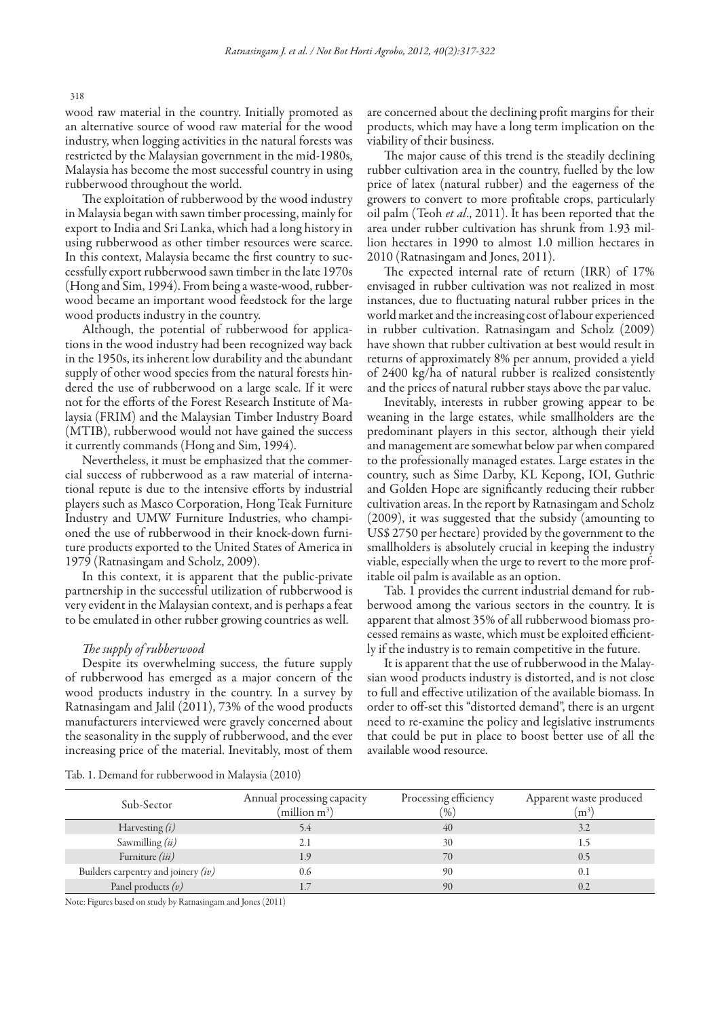wood raw material in the country. Initially promoted as an alternative source of wood raw material for the wood industry, when logging activities in the natural forests was restricted by the Malaysian government in the mid-1980s, Malaysia has become the most successful country in using rubberwood throughout the world.

The exploitation of rubberwood by the wood industry in Malaysia began with sawn timber processing, mainly for export to India and Sri Lanka, which had a long history in using rubberwood as other timber resources were scarce. In this context, Malaysia became the first country to successfully export rubberwood sawn timber in the late 1970s (Hong and Sim, 1994). From being a waste-wood, rubberwood became an important wood feedstock for the large wood products industry in the country.

Although, the potential of rubberwood for applications in the wood industry had been recognized way back in the 1950s, its inherent low durability and the abundant supply of other wood species from the natural forests hindered the use of rubberwood on a large scale. If it were not for the efforts of the Forest Research Institute of Malaysia (FRIM) and the Malaysian Timber Industry Board (MTIB), rubberwood would not have gained the success it currently commands (Hong and Sim, 1994).

Nevertheless, it must be emphasized that the commercial success of rubberwood as a raw material of international repute is due to the intensive efforts by industrial players such as Masco Corporation, Hong Teak Furniture Industry and UMW Furniture Industries, who championed the use of rubberwood in their knock-down furniture products exported to the United States of America in 1979 (Ratnasingam and Scholz, 2009).

In this context, it is apparent that the public-private partnership in the successful utilization of rubberwood is very evident in the Malaysian context, and is perhaps a feat to be emulated in other rubber growing countries as well.

#### *The supply of rubberwood*

Despite its overwhelming success, the future supply of rubberwood has emerged as a major concern of the wood products industry in the country. In a survey by Ratnasingam and Jalil (2011), 73% of the wood products manufacturers interviewed were gravely concerned about the seasonality in the supply of rubberwood, and the ever increasing price of the material. Inevitably, most of them

are concerned about the declining profit margins for their products, which may have a long term implication on the viability of their business.

The major cause of this trend is the steadily declining rubber cultivation area in the country, fuelled by the low price of latex (natural rubber) and the eagerness of the growers to convert to more profitable crops, particularly oil palm (Teoh *et al*., 2011). It has been reported that the area under rubber cultivation has shrunk from 1.93 million hectares in 1990 to almost 1.0 million hectares in 2010 (Ratnasingam and Jones, 2011).

The expected internal rate of return (IRR) of 17% envisaged in rubber cultivation was not realized in most instances, due to fluctuating natural rubber prices in the world market and the increasing cost of labour experienced in rubber cultivation. Ratnasingam and Scholz (2009) have shown that rubber cultivation at best would result in returns of approximately 8% per annum, provided a yield of 2400 kg/ha of natural rubber is realized consistently and the prices of natural rubber stays above the par value.

Inevitably, interests in rubber growing appear to be weaning in the large estates, while smallholders are the predominant players in this sector, although their yield and management are somewhat below par when compared to the professionally managed estates. Large estates in the country, such as Sime Darby, KL Kepong, IOI, Guthrie and Golden Hope are significantly reducing their rubber cultivation areas. In the report by Ratnasingam and Scholz (2009), it was suggested that the subsidy (amounting to US\$ 2750 per hectare) provided by the government to the smallholders is absolutely crucial in keeping the industry viable, especially when the urge to revert to the more profitable oil palm is available as an option.

Tab. 1 provides the current industrial demand for rubberwood among the various sectors in the country. It is apparent that almost 35% of all rubberwood biomass processed remains as waste, which must be exploited efficiently if the industry is to remain competitive in the future.

It is apparent that the use of rubberwood in the Malaysian wood products industry is distorted, and is not close to full and effective utilization of the available biomass. In order to off-set this "distorted demand", there is an urgent need to re-examine the policy and legislative instruments that could be put in place to boost better use of all the available wood resource.

| Tab. 1. Demand for rubberwood in Malaysia (2010) |  |  |  |
|--------------------------------------------------|--|--|--|
|--------------------------------------------------|--|--|--|

| Sub-Sector                          | Annual processing capacity<br>(million m <sup>3</sup> ) | Processing efficiency<br>$\frac{9}{6}$ | Apparent waste produced<br>$\rm m^3$ |
|-------------------------------------|---------------------------------------------------------|----------------------------------------|--------------------------------------|
| Harvesting $(i)$                    | 5.4                                                     | 40                                     |                                      |
| Sawmilling (ii)                     | 2.1                                                     | 30                                     | 1.5                                  |
| Furniture <i>(iii)</i>              | 1.9                                                     | 70                                     | 0.5                                  |
| Builders carpentry and joinery (iv) | 0.6                                                     | 90                                     | (0, 1)                               |
| Panel products $(v)$                |                                                         | 90                                     | 0.2                                  |

Note: Figures based on study by Ratnasingam and Jones (2011)

318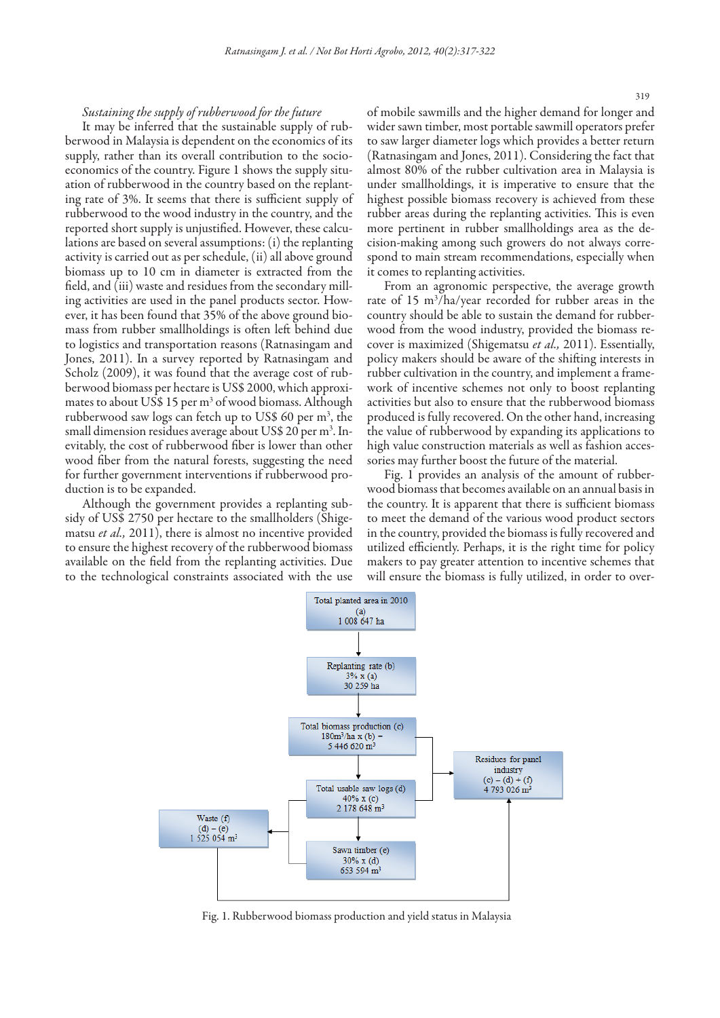## *Sustaining the supply of rubberwood for the future*

It may be inferred that the sustainable supply of rubberwood in Malaysia is dependent on the economics of its supply, rather than its overall contribution to the socioeconomics of the country. Figure 1 shows the supply situation of rubberwood in the country based on the replanting rate of 3%. It seems that there is sufficient supply of rubberwood to the wood industry in the country, and the reported short supply is unjustified. However, these calculations are based on several assumptions: (i) the replanting activity is carried out as per schedule, (ii) all above ground biomass up to 10 cm in diameter is extracted from the field, and  $(iii)$  waste and residues from the secondary milling activities are used in the panel products sector. However, it has been found that 35% of the above ground biomass from rubber smallholdings is often left behind due to logistics and transportation reasons (Ratnasingam and Jones, 2011). In a survey reported by Ratnasingam and Scholz (2009), it was found that the average cost of rubberwood biomass per hectare is US\$ 2000, which approximates to about US\$ 15 per m<sup>3</sup> of wood biomass. Although rubberwood saw logs can fetch up to US\$ 60 per m<sup>3</sup>, the small dimension residues average about US\$ 20 per m<sup>3</sup>. Inevitably, the cost of rubberwood fiber is lower than other wood fiber from the natural forests, suggesting the need for further government interventions if rubberwood production is to be expanded.

Although the government provides a replanting subsidy of US\$ 2750 per hectare to the smallholders (Shigematsu *et al.,* 2011), there is almost no incentive provided to ensure the highest recovery of the rubberwood biomass available on the field from the replanting activities. Due to the technological constraints associated with the use

of mobile sawmills and the higher demand for longer and wider sawn timber, most portable sawmill operators prefer to saw larger diameter logs which provides a better return (Ratnasingam and Jones, 2011). Considering the fact that almost 80% of the rubber cultivation area in Malaysia is under smallholdings, it is imperative to ensure that the highest possible biomass recovery is achieved from these rubber areas during the replanting activities. This is even more pertinent in rubber smallholdings area as the decision-making among such growers do not always correspond to main stream recommendations, especially when it comes to replanting activities.

From an agronomic perspective, the average growth rate of 15 m<sup>3</sup>/ha/year recorded for rubber areas in the country should be able to sustain the demand for rubberwood from the wood industry, provided the biomass recover is maximized (Shigematsu *et al.,* 2011). Essentially, policy makers should be aware of the shifting interests in rubber cultivation in the country, and implement a framework of incentive schemes not only to boost replanting activities but also to ensure that the rubberwood biomass produced is fully recovered. On the other hand, increasing the value of rubberwood by expanding its applications to high value construction materials as well as fashion accessories may further boost the future of the material.

Fig. 1 provides an analysis of the amount of rubberwood biomass that becomes available on an annual basis in the country. It is apparent that there is sufficient biomass to meet the demand of the various wood product sectors in the country, provided the biomass is fully recovered and utilized efficiently. Perhaps, it is the right time for policy makers to pay greater attention to incentive schemes that will ensure the biomass is fully utilized, in order to over-



Fig. 1. Rubberwood biomass production and yield status in Malaysia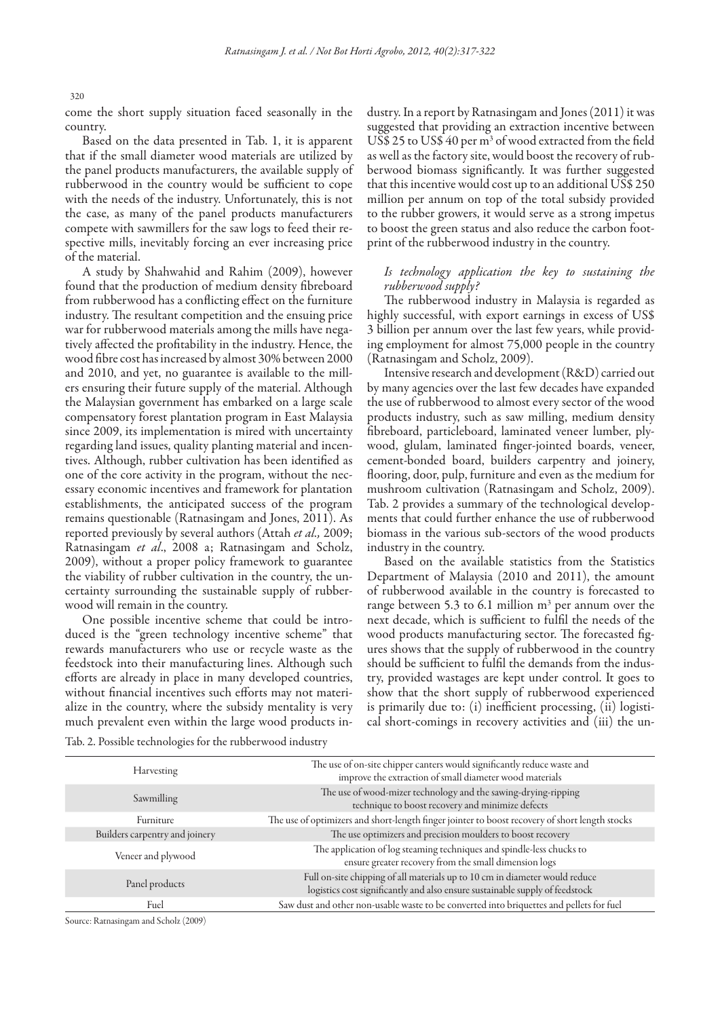come the short supply situation faced seasonally in the country.

Based on the data presented in Tab. 1, it is apparent that if the small diameter wood materials are utilized by the panel products manufacturers, the available supply of rubberwood in the country would be sufficient to cope with the needs of the industry. Unfortunately, this is not the case, as many of the panel products manufacturers compete with sawmillers for the saw logs to feed their respective mills, inevitably forcing an ever increasing price of the material.

A study by Shahwahid and Rahim (2009), however found that the production of medium density fibreboard from rubberwood has a conflicting effect on the furniture industry. The resultant competition and the ensuing price war for rubberwood materials among the mills have negatively affected the profitability in the industry. Hence, the wood fibre cost has increased by almost 30% between 2000 and 2010, and yet, no guarantee is available to the millers ensuring their future supply of the material. Although the Malaysian government has embarked on a large scale compensatory forest plantation program in East Malaysia since 2009, its implementation is mired with uncertainty regarding land issues, quality planting material and incentives. Although, rubber cultivation has been identified as one of the core activity in the program, without the necessary economic incentives and framework for plantation establishments, the anticipated success of the program remains questionable (Ratnasingam and Jones, 2011). As reported previously by several authors (Attah *et al.,* 2009; Ratnasingam *et al*., 2008 a; Ratnasingam and Scholz, 2009), without a proper policy framework to guarantee the viability of rubber cultivation in the country, the uncertainty surrounding the sustainable supply of rubberwood will remain in the country.

One possible incentive scheme that could be introduced is the "green technology incentive scheme" that rewards manufacturers who use or recycle waste as the feedstock into their manufacturing lines. Although such efforts are already in place in many developed countries, without financial incentives such efforts may not materialize in the country, where the subsidy mentality is very much prevalent even within the large wood products industry. In a report by Ratnasingam and Jones (2011) it was suggested that providing an extraction incentive between US\$ 25 to US\$  $40$  per  $m<sup>3</sup>$  of wood extracted from the field as well as the factory site, would boost the recovery of rubberwood biomass significantly. It was further suggested that this incentive would cost up to an additional US\$ 250 million per annum on top of the total subsidy provided to the rubber growers, it would serve as a strong impetus to boost the green status and also reduce the carbon footprint of the rubberwood industry in the country.

# *Is technology application the key to sustaining the rubberwood supply?*

The rubberwood industry in Malaysia is regarded as highly successful, with export earnings in excess of US\$ 3 billion per annum over the last few years, while providing employment for almost 75,000 people in the country (Ratnasingam and Scholz, 2009).

Intensive research and development (R&D) carried out by many agencies over the last few decades have expanded the use of rubberwood to almost every sector of the wood products industry, such as saw milling, medium density fibreboard, particleboard, laminated veneer lumber, plywood, glulam, laminated finger-jointed boards, veneer, cement-bonded board, builders carpentry and joinery, flooring, door, pulp, furniture and even as the medium for mushroom cultivation (Ratnasingam and Scholz, 2009). Tab. 2 provides a summary of the technological developments that could further enhance the use of rubberwood biomass in the various sub-sectors of the wood products industry in the country.

Based on the available statistics from the Statistics Department of Malaysia (2010 and 2011), the amount of rubberwood available in the country is forecasted to range between 5.3 to 6.1 million  $m<sup>3</sup>$  per annum over the next decade, which is sufficient to fulfil the needs of the wood products manufacturing sector. The forecasted figures shows that the supply of rubberwood in the country should be sufficient to fulfil the demands from the industry, provided wastages are kept under control. It goes to show that the short supply of rubberwood experienced is primarily due to: (i) inefficient processing, (ii) logistical short-comings in recovery activities and (iii) the un-

| <b>Harvesting</b>              | The use of on-site chipper canters would significantly reduce waste and<br>improve the extraction of small diameter wood materials                          |
|--------------------------------|-------------------------------------------------------------------------------------------------------------------------------------------------------------|
| Sawmilling                     | The use of wood-mizer technology and the sawing-drying-ripping<br>technique to boost recovery and minimize defects                                          |
| Furniture                      | The use of optimizers and short-length finger jointer to boost recovery of short length stocks                                                              |
| Builders carpentry and joinery | The use optimizers and precision moulders to boost recovery                                                                                                 |
| Veneer and plywood             | The application of log steaming techniques and spindle-less chucks to<br>ensure greater recovery from the small dimension logs                              |
| Panel products                 | Full on-site chipping of all materials up to 10 cm in diameter would reduce<br>logistics cost significantly and also ensure sustainable supply of feedstock |
| Fuel                           | Saw dust and other non-usable waste to be converted into briquettes and pellets for fuel                                                                    |

Tab. 2. Possible technologies for the rubberwood industry

Source: Ratnasingam and Scholz (2009)

320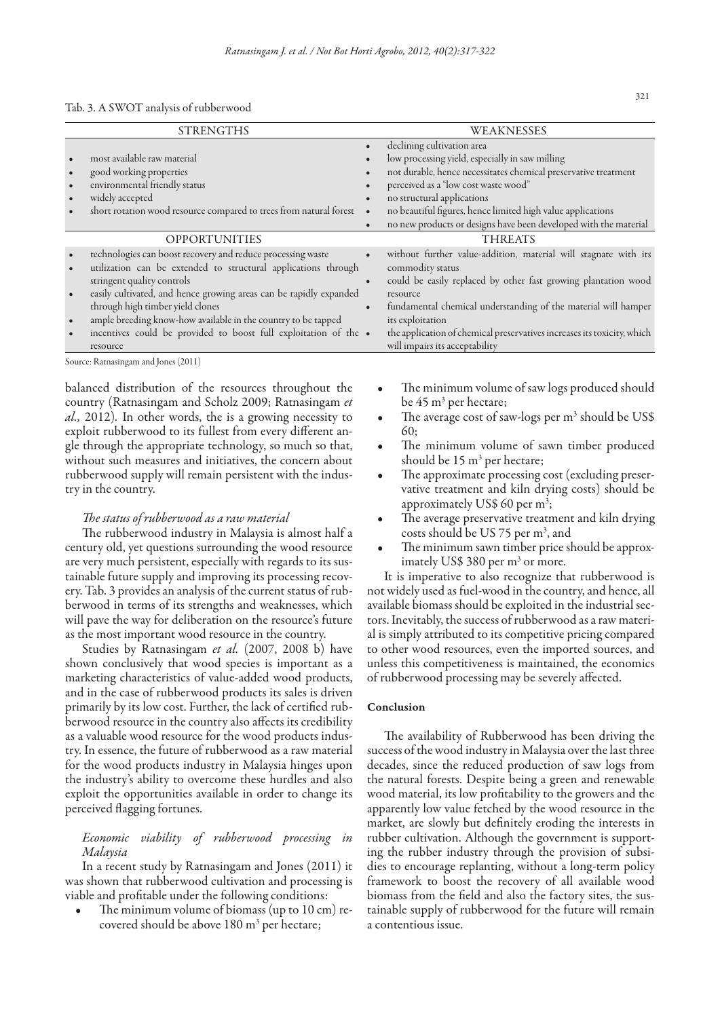|  | Tab. 3. A SWOT analysis of rubberwood |
|--|---------------------------------------|
|--|---------------------------------------|

|           | <b>STRENGTHS</b>                                                                                                                                                                                                                  | WEAKNESSES                                                                                                                                                                                                                                                                                                                                                |
|-----------|-----------------------------------------------------------------------------------------------------------------------------------------------------------------------------------------------------------------------------------|-----------------------------------------------------------------------------------------------------------------------------------------------------------------------------------------------------------------------------------------------------------------------------------------------------------------------------------------------------------|
|           | most available raw material<br>good working properties<br>environmental friendly status<br>widely accepted<br>short rotation wood resource compared to trees from natural forest<br>$\bullet$                                     | declining cultivation area<br>low processing yield, especially in saw milling<br>not durable, hence necessitates chemical preservative treatment<br>perceived as a "low cost waste wood"<br>no structural applications<br>no beautiful figures, hence limited high value applications<br>no new products or designs have been developed with the material |
|           | <b>OPPORTUNITIES</b>                                                                                                                                                                                                              | <b>THREATS</b>                                                                                                                                                                                                                                                                                                                                            |
|           | technologies can boost recovery and reduce processing waste<br>utilization can be extended to structural applications through<br>stringent quality controls<br>easily cultivated, and hence growing areas can be rapidly expanded | without further value-addition, material will stagnate with its<br>commodity status<br>could be easily replaced by other fast growing plantation wood<br>resource                                                                                                                                                                                         |
|           | through high timber yield clones<br>ample breeding know-how available in the country to be tapped                                                                                                                                 | fundamental chemical understanding of the material will hamper                                                                                                                                                                                                                                                                                            |
| $\bullet$ | incentives could be provided to boost full exploitation of the .<br>resource                                                                                                                                                      | its exploitation<br>the application of chemical preservatives increases its toxicity, which<br>will impairs its acceptability                                                                                                                                                                                                                             |

Source: Ratnasingam and Jones (2011)

balanced distribution of the resources throughout the country (Ratnasingam and Scholz 2009; Ratnasingam *et al.,* 2012)*.* In other words, the is a growing necessity to exploit rubberwood to its fullest from every different angle through the appropriate technology, so much so that, without such measures and initiatives, the concern about rubberwood supply will remain persistent with the industry in the country.

#### *The status of rubberwood as a raw material*

The rubberwood industry in Malaysia is almost half a century old, yet questions surrounding the wood resource are very much persistent, especially with regards to its sustainable future supply and improving its processing recovery. Tab. 3 provides an analysis of the current status of rubberwood in terms of its strengths and weaknesses, which will pave the way for deliberation on the resource's future as the most important wood resource in the country.

Studies by Ratnasingam *et al.* (2007, 2008 b) have shown conclusively that wood species is important as a marketing characteristics of value-added wood products, and in the case of rubberwood products its sales is driven primarily by its low cost. Further, the lack of certified rubberwood resource in the country also affects its credibility as a valuable wood resource for the wood products industry. In essence, the future of rubberwood as a raw material for the wood products industry in Malaysia hinges upon the industry's ability to overcome these hurdles and also exploit the opportunities available in order to change its perceived flagging fortunes.

# *Economic viability of rubberwood processing in Malaysia*

In a recent study by Ratnasingam and Jones (2011) it was shown that rubberwood cultivation and processing is viable and profitable under the following conditions:

The minimum volume of biomass (up to  $10 \text{ cm}$ ) recovered should be above 180 m<sup>3</sup> per hectare;

- The minimum volume of saw logs produced should be 45 m3 per hectare;
- The average cost of saw-logs per m<sup>3</sup> should be US\$ 60;
- • The minimum volume of sawn timber produced should be  $15 \text{ m}^3$  per hectare;
- The approximate processing cost (excluding preservative treatment and kiln drying costs) should be approximately US\$ 60 per m<sup>3</sup>;
- The average preservative treatment and kiln drying costs should be US 75 per m<sup>3</sup>, and
- The minimum sawn timber price should be approximately US\$ 380 per m<sup>3</sup> or more.

It is imperative to also recognize that rubberwood is not widely used as fuel-wood in the country, and hence, all available biomass should be exploited in the industrial sectors. Inevitably, the success of rubberwood as a raw material is simply attributed to its competitive pricing compared to other wood resources, even the imported sources, and unless this competitiveness is maintained, the economics of rubberwood processing may be severely affected.

# Conclusion

The availability of Rubberwood has been driving the success of the wood industry in Malaysia over the last three decades, since the reduced production of saw logs from the natural forests. Despite being a green and renewable wood material, its low profitability to the growers and the apparently low value fetched by the wood resource in the market, are slowly but definitely eroding the interests in rubber cultivation. Although the government is supporting the rubber industry through the provision of subsidies to encourage replanting, without a long-term policy framework to boost the recovery of all available wood biomass from the field and also the factory sites, the sustainable supply of rubberwood for the future will remain a contentious issue.